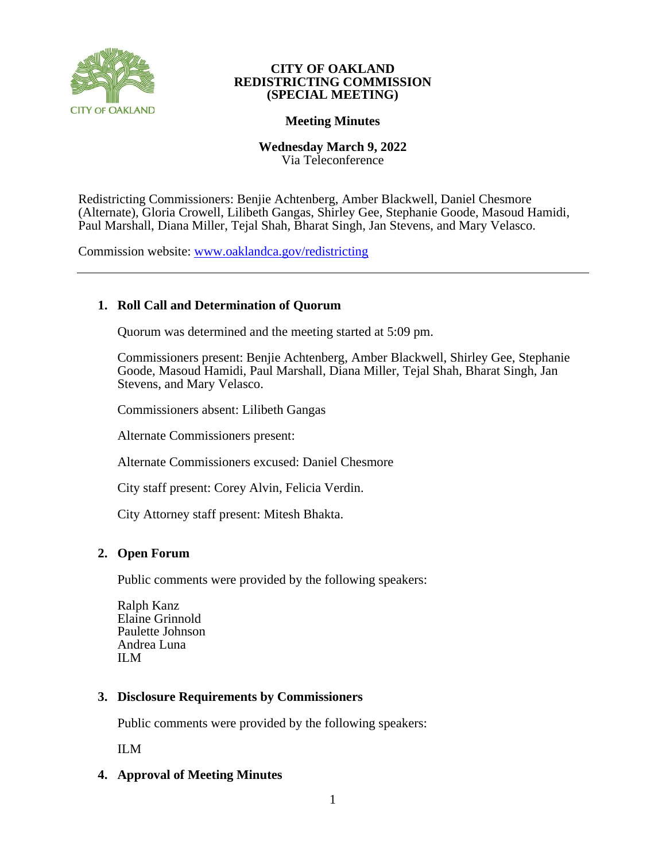

#### **CITY OF OAKLAND REDISTRICTING COMMISSION (SPECIAL MEETING)**

# **Meeting Minutes**

# **Wednesday March 9, 2022**

Via Teleconference

Redistricting Commissioners: Benjie Achtenberg, Amber Blackwell, Daniel Chesmore (Alternate), Gloria Crowell, Lilibeth Gangas, Shirley Gee, Stephanie Goode, Masoud Hamidi, Paul Marshall, Diana Miller, Tejal Shah, Bharat Singh, Jan Stevens, and Mary Velasco.

Commission website: [www.oaklandca.gov/redistricting](https://www.oaklandca.gov/boards-commissions/redistricting-commission/meetings)

# **1. Roll Call and Determination of Quorum**

Quorum was determined and the meeting started at 5:09 pm.

Commissioners present: Benjie Achtenberg, Amber Blackwell, Shirley Gee, Stephanie Goode, Masoud Hamidi, Paul Marshall, Diana Miller, Tejal Shah, Bharat Singh, Jan Stevens, and Mary Velasco.

Commissioners absent: Lilibeth Gangas

Alternate Commissioners present:

Alternate Commissioners excused: Daniel Chesmore

City staff present: Corey Alvin, Felicia Verdin.

City Attorney staff present: Mitesh Bhakta.

# **2. Open Forum**

Public comments were provided by the following speakers:

Ralph Kanz Elaine Grinnold Paulette Johnson Andrea Luna ILM

# **3. Disclosure Requirements by Commissioners**

Public comments were provided by the following speakers:

ILM

# **4. Approval of Meeting Minutes**